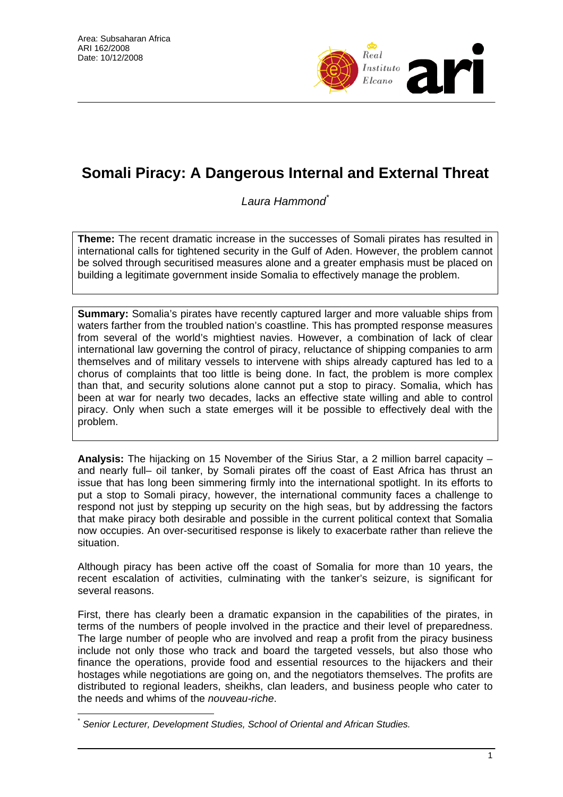

# **Somali Piracy: A Dangerous Internal and External Threat**

*Laura Hammond\**

**Theme:** The recent dramatic increase in the successes of Somali pirates has resulted in international calls for tightened security in the Gulf of Aden. However, the problem cannot be solved through securitised measures alone and a greater emphasis must be placed on building a legitimate government inside Somalia to effectively manage the problem.

**Summary:** Somalia's pirates have recently captured larger and more valuable ships from waters farther from the troubled nation's coastline. This has prompted response measures from several of the world's mightiest navies. However, a combination of lack of clear international law governing the control of piracy, reluctance of shipping companies to arm themselves and of military vessels to intervene with ships already captured has led to a chorus of complaints that too little is being done. In fact, the problem is more complex than that, and security solutions alone cannot put a stop to piracy. Somalia, which has been at war for nearly two decades, lacks an effective state willing and able to control piracy. Only when such a state emerges will it be possible to effectively deal with the problem.

**Analysis:** The hijacking on 15 November of the Sirius Star, a 2 million barrel capacity – and nearly full– oil tanker, by Somali pirates off the coast of East Africa has thrust an issue that has long been simmering firmly into the international spotlight. In its efforts to put a stop to Somali piracy, however, the international community faces a challenge to respond not just by stepping up security on the high seas, but by addressing the factors that make piracy both desirable and possible in the current political context that Somalia now occupies. An over-securitised response is likely to exacerbate rather than relieve the situation.

Although piracy has been active off the coast of Somalia for more than 10 years, the recent escalation of activities, culminating with the tanker's seizure, is significant for several reasons.

First, there has clearly been a dramatic expansion in the capabilities of the pirates, in terms of the numbers of people involved in the practice and their level of preparedness. The large number of people who are involved and reap a profit from the piracy business include not only those who track and board the targeted vessels, but also those who finance the operations, provide food and essential resources to the hijackers and their hostages while negotiations are going on, and the negotiators themselves. The profits are distributed to regional leaders, sheikhs, clan leaders, and business people who cater to the needs and whims of the *nouveau-riche*.

 $\overline{a}$ \* *Senior Lecturer, Development Studies, School of Oriental and African Studies.*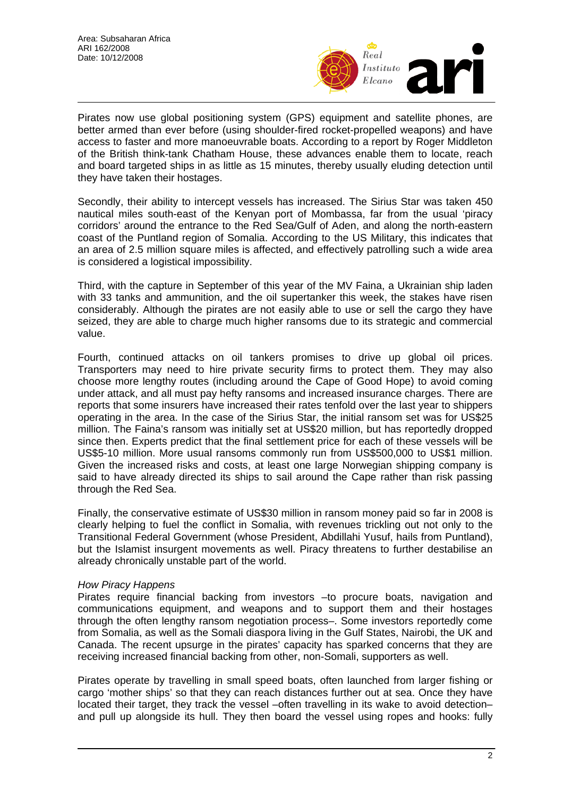

Pirates now use global positioning system (GPS) equipment and satellite phones, are better armed than ever before (using shoulder-fired rocket-propelled weapons) and have access to faster and more manoeuvrable boats. According to a report by Roger Middleton of the British think-tank Chatham House, these advances enable them to locate, reach and board targeted ships in as little as 15 minutes, thereby usually eluding detection until they have taken their hostages.

Secondly, their ability to intercept vessels has increased. The Sirius Star was taken 450 nautical miles south-east of the Kenyan port of Mombassa, far from the usual 'piracy corridors' around the entrance to the Red Sea/Gulf of Aden, and along the north-eastern coast of the Puntland region of Somalia. According to the US Military, this indicates that an area of 2.5 million square miles is affected, and effectively patrolling such a wide area is considered a logistical impossibility.

Third, with the capture in September of this year of the MV Faina, a Ukrainian ship laden with 33 tanks and ammunition, and the oil supertanker this week, the stakes have risen considerably. Although the pirates are not easily able to use or sell the cargo they have seized, they are able to charge much higher ransoms due to its strategic and commercial value.

Fourth, continued attacks on oil tankers promises to drive up global oil prices. Transporters may need to hire private security firms to protect them. They may also choose more lengthy routes (including around the Cape of Good Hope) to avoid coming under attack, and all must pay hefty ransoms and increased insurance charges. There are reports that some insurers have increased their rates tenfold over the last year to shippers operating in the area. In the case of the Sirius Star, the initial ransom set was for US\$25 million. The Faina's ransom was initially set at US\$20 million, but has reportedly dropped since then. Experts predict that the final settlement price for each of these vessels will be US\$5-10 million. More usual ransoms commonly run from US\$500,000 to US\$1 million. Given the increased risks and costs, at least one large Norwegian shipping company is said to have already directed its ships to sail around the Cape rather than risk passing through the Red Sea.

Finally, the conservative estimate of US\$30 million in ransom money paid so far in 2008 is clearly helping to fuel the conflict in Somalia, with revenues trickling out not only to the Transitional Federal Government (whose President, Abdillahi Yusuf, hails from Puntland), but the Islamist insurgent movements as well. Piracy threatens to further destabilise an already chronically unstable part of the world.

## *How Piracy Happens*

Pirates require financial backing from investors –to procure boats, navigation and communications equipment, and weapons and to support them and their hostages through the often lengthy ransom negotiation process–. Some investors reportedly come from Somalia, as well as the Somali diaspora living in the Gulf States, Nairobi, the UK and Canada. The recent upsurge in the pirates' capacity has sparked concerns that they are receiving increased financial backing from other, non-Somali, supporters as well.

Pirates operate by travelling in small speed boats, often launched from larger fishing or cargo 'mother ships' so that they can reach distances further out at sea. Once they have located their target, they track the vessel –often travelling in its wake to avoid detection– and pull up alongside its hull. They then board the vessel using ropes and hooks: fully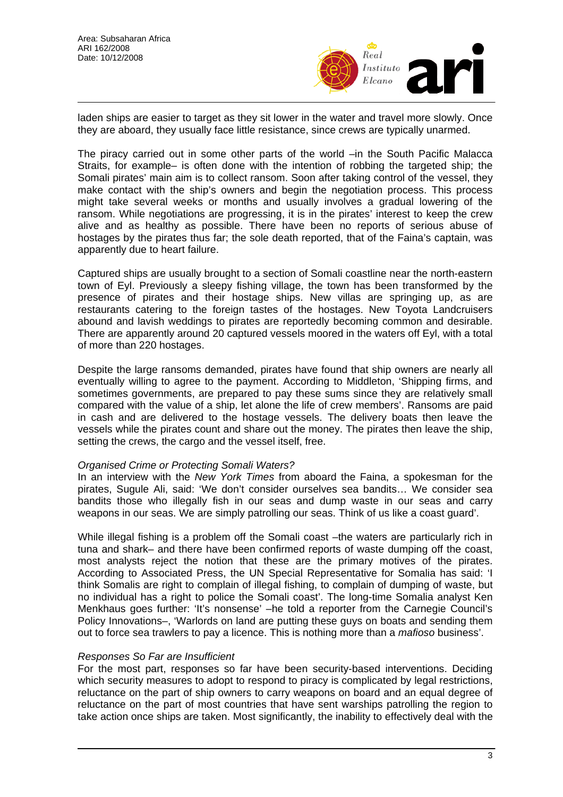

laden ships are easier to target as they sit lower in the water and travel more slowly. Once they are aboard, they usually face little resistance, since crews are typically unarmed.

The piracy carried out in some other parts of the world –in the South Pacific Malacca Straits, for example– is often done with the intention of robbing the targeted ship; the Somali pirates' main aim is to collect ransom. Soon after taking control of the vessel, they make contact with the ship's owners and begin the negotiation process. This process might take several weeks or months and usually involves a gradual lowering of the ransom. While negotiations are progressing, it is in the pirates' interest to keep the crew alive and as healthy as possible. There have been no reports of serious abuse of hostages by the pirates thus far; the sole death reported, that of the Faina's captain, was apparently due to heart failure.

Captured ships are usually brought to a section of Somali coastline near the north-eastern town of Eyl. Previously a sleepy fishing village, the town has been transformed by the presence of pirates and their hostage ships. New villas are springing up, as are restaurants catering to the foreign tastes of the hostages. New Toyota Landcruisers abound and lavish weddings to pirates are reportedly becoming common and desirable. There are apparently around 20 captured vessels moored in the waters off Eyl, with a total of more than 220 hostages.

Despite the large ransoms demanded, pirates have found that ship owners are nearly all eventually willing to agree to the payment. According to Middleton, 'Shipping firms, and sometimes governments, are prepared to pay these sums since they are relatively small compared with the value of a ship, let alone the life of crew members'. Ransoms are paid in cash and are delivered to the hostage vessels. The delivery boats then leave the vessels while the pirates count and share out the money. The pirates then leave the ship, setting the crews, the cargo and the vessel itself, free.

#### *Organised Crime or Protecting Somali Waters?*

In an interview with the *New York Times* from aboard the Faina, a spokesman for the pirates, Sugule Ali, said: 'We don't consider ourselves sea bandits… We consider sea bandits those who illegally fish in our seas and dump waste in our seas and carry weapons in our seas. We are simply patrolling our seas. Think of us like a coast guard'.

While illegal fishing is a problem off the Somali coast –the waters are particularly rich in tuna and shark– and there have been confirmed reports of waste dumping off the coast, most analysts reject the notion that these are the primary motives of the pirates. According to Associated Press, the UN Special Representative for Somalia has said: 'I think Somalis are right to complain of illegal fishing, to complain of dumping of waste, but no individual has a right to police the Somali coast'. The long-time Somalia analyst Ken Menkhaus goes further: 'It's nonsense' –he told a reporter from the Carnegie Council's Policy Innovations–, 'Warlords on land are putting these guys on boats and sending them out to force sea trawlers to pay a licence. This is nothing more than a *mafioso* business'.

## *Responses So Far are Insufficient*

For the most part, responses so far have been security-based interventions. Deciding which security measures to adopt to respond to piracy is complicated by legal restrictions, reluctance on the part of ship owners to carry weapons on board and an equal degree of reluctance on the part of most countries that have sent warships patrolling the region to take action once ships are taken. Most significantly, the inability to effectively deal with the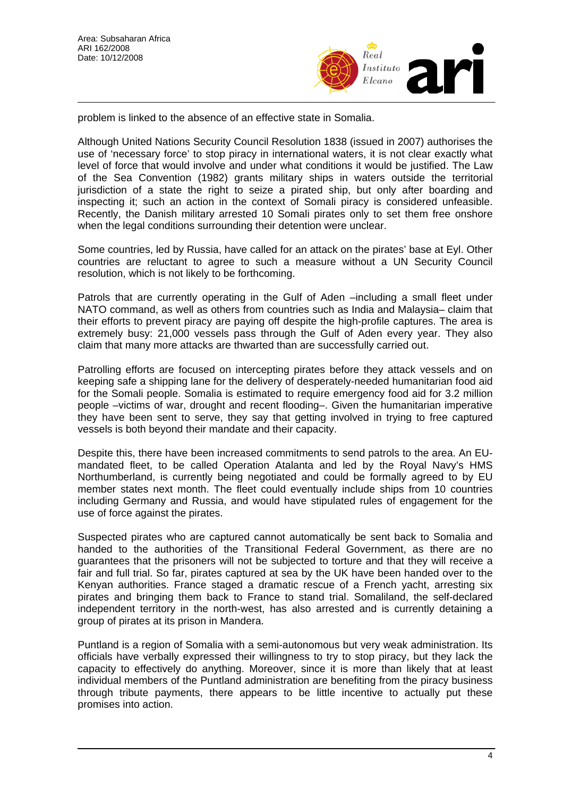

problem is linked to the absence of an effective state in Somalia.

Although United Nations Security Council Resolution 1838 (issued in 2007) authorises the use of 'necessary force' to stop piracy in international waters, it is not clear exactly what level of force that would involve and under what conditions it would be justified. The Law of the Sea Convention (1982) grants military ships in waters outside the territorial jurisdiction of a state the right to seize a pirated ship, but only after boarding and inspecting it; such an action in the context of Somali piracy is considered unfeasible. Recently, the Danish military arrested 10 Somali pirates only to set them free onshore when the legal conditions surrounding their detention were unclear.

Some countries, led by Russia, have called for an attack on the pirates' base at Eyl. Other countries are reluctant to agree to such a measure without a UN Security Council resolution, which is not likely to be forthcoming.

Patrols that are currently operating in the Gulf of Aden –including a small fleet under NATO command, as well as others from countries such as India and Malaysia– claim that their efforts to prevent piracy are paying off despite the high-profile captures. The area is extremely busy: 21,000 vessels pass through the Gulf of Aden every year. They also claim that many more attacks are thwarted than are successfully carried out.

Patrolling efforts are focused on intercepting pirates before they attack vessels and on keeping safe a shipping lane for the delivery of desperately-needed humanitarian food aid for the Somali people. Somalia is estimated to require emergency food aid for 3.2 million people –victims of war, drought and recent flooding–. Given the humanitarian imperative they have been sent to serve, they say that getting involved in trying to free captured vessels is both beyond their mandate and their capacity.

Despite this, there have been increased commitments to send patrols to the area. An EUmandated fleet, to be called Operation Atalanta and led by the Royal Navy's HMS Northumberland, is currently being negotiated and could be formally agreed to by EU member states next month. The fleet could eventually include ships from 10 countries including Germany and Russia, and would have stipulated rules of engagement for the use of force against the pirates.

Suspected pirates who are captured cannot automatically be sent back to Somalia and handed to the authorities of the Transitional Federal Government, as there are no guarantees that the prisoners will not be subjected to torture and that they will receive a fair and full trial. So far, pirates captured at sea by the UK have been handed over to the Kenyan authorities. France staged a dramatic rescue of a French yacht, arresting six pirates and bringing them back to France to stand trial. Somaliland, the self-declared independent territory in the north-west, has also arrested and is currently detaining a group of pirates at its prison in Mandera.

Puntland is a region of Somalia with a semi-autonomous but very weak administration. Its officials have verbally expressed their willingness to try to stop piracy, but they lack the capacity to effectively do anything. Moreover, since it is more than likely that at least individual members of the Puntland administration are benefiting from the piracy business through tribute payments, there appears to be little incentive to actually put these promises into action.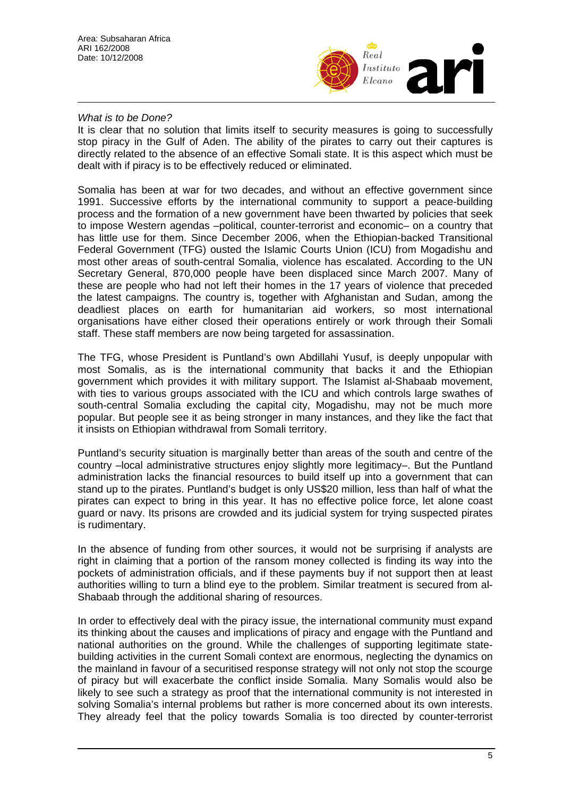

#### *What is to be Done?*

It is clear that no solution that limits itself to security measures is going to successfully stop piracy in the Gulf of Aden. The ability of the pirates to carry out their captures is directly related to the absence of an effective Somali state. It is this aspect which must be dealt with if piracy is to be effectively reduced or eliminated.

Somalia has been at war for two decades, and without an effective government since 1991. Successive efforts by the international community to support a peace-building process and the formation of a new government have been thwarted by policies that seek to impose Western agendas –political, counter-terrorist and economic– on a country that has little use for them. Since December 2006, when the Ethiopian-backed Transitional Federal Government (TFG) ousted the Islamic Courts Union (ICU) from Mogadishu and most other areas of south-central Somalia, violence has escalated. According to the UN Secretary General, 870,000 people have been displaced since March 2007. Many of these are people who had not left their homes in the 17 years of violence that preceded the latest campaigns. The country is, together with Afghanistan and Sudan, among the deadliest places on earth for humanitarian aid workers, so most international organisations have either closed their operations entirely or work through their Somali staff. These staff members are now being targeted for assassination.

The TFG, whose President is Puntland's own Abdillahi Yusuf, is deeply unpopular with most Somalis, as is the international community that backs it and the Ethiopian government which provides it with military support. The Islamist al-Shabaab movement, with ties to various groups associated with the ICU and which controls large swathes of south-central Somalia excluding the capital city, Mogadishu, may not be much more popular. But people see it as being stronger in many instances, and they like the fact that it insists on Ethiopian withdrawal from Somali territory.

Puntland's security situation is marginally better than areas of the south and centre of the country –local administrative structures enjoy slightly more legitimacy–. But the Puntland administration lacks the financial resources to build itself up into a government that can stand up to the pirates. Puntland's budget is only US\$20 million, less than half of what the pirates can expect to bring in this year. It has no effective police force, let alone coast guard or navy. Its prisons are crowded and its judicial system for trying suspected pirates is rudimentary.

In the absence of funding from other sources, it would not be surprising if analysts are right in claiming that a portion of the ransom money collected is finding its way into the pockets of administration officials, and if these payments buy if not support then at least authorities willing to turn a blind eye to the problem. Similar treatment is secured from al-Shabaab through the additional sharing of resources.

In order to effectively deal with the piracy issue, the international community must expand its thinking about the causes and implications of piracy and engage with the Puntland and national authorities on the ground. While the challenges of supporting legitimate statebuilding activities in the current Somali context are enormous, neglecting the dynamics on the mainland in favour of a securitised response strategy will not only not stop the scourge of piracy but will exacerbate the conflict inside Somalia. Many Somalis would also be likely to see such a strategy as proof that the international community is not interested in solving Somalia's internal problems but rather is more concerned about its own interests. They already feel that the policy towards Somalia is too directed by counter-terrorist